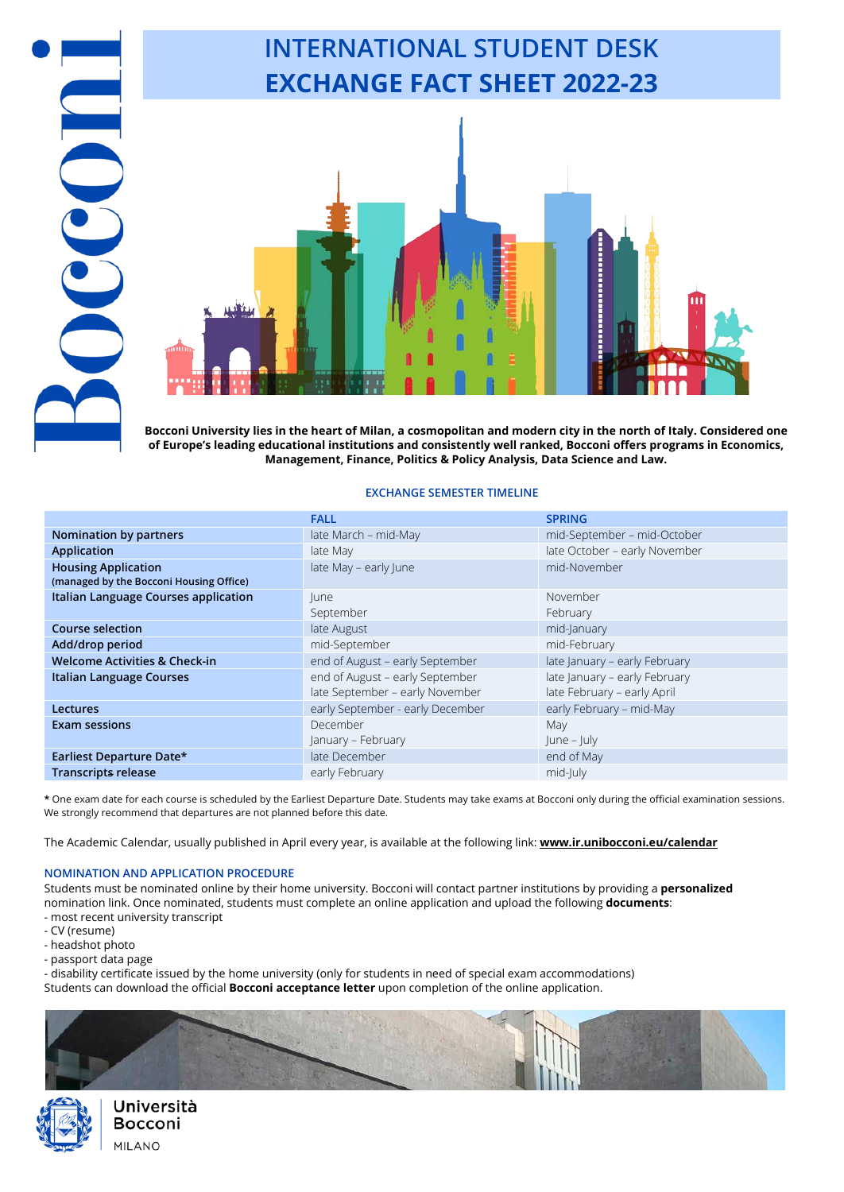**Bocconi University lies in the heart of Milan, a cosmopolitan and modern city in the north of Italy. Considered one of Europe's leading educational institutions and consistently well ranked, Bocconi offers programs in Economics, Management, Finance, Politics & Policy Analysis, Data Science and Law.**

**INTERNATIONAL STUDENT DESK**

**EXCHANGE FACT SHEET 2022-23**

### **EXCHANGE SEMESTER TIMELINE**

|                                          | <b>FALL</b>                      | <b>SPRING</b>                 |
|------------------------------------------|----------------------------------|-------------------------------|
| <b>Nomination by partners</b>            | late March - mid-May             | mid-September - mid-October   |
| <b>Application</b>                       | late May                         | late October - early November |
| <b>Housing Application</b>               | late May - early June            | mid-November                  |
| (managed by the Bocconi Housing Office)  |                                  |                               |
| Italian Language Courses application     | lune                             | November                      |
|                                          | September                        | February                      |
| Course selection                         | late August                      | mid-January                   |
| Add/drop period                          | mid-September                    | mid-February                  |
| <b>Welcome Activities &amp; Check-in</b> | end of August - early September  | late January - early February |
| Italian Language Courses                 | end of August - early September  | late January - early February |
|                                          | late September - early November  | late February - early April   |
| Lectures                                 | early September - early December | early February - mid-May      |
| <b>Exam sessions</b>                     | December                         | May                           |
|                                          | January – February               | $ une -  uly $                |
| Earliest Departure Date*                 | late December                    | end of May                    |
| <b>Transcripts release</b>               | early February                   | mid-July                      |

**\*** One exam date for each course is scheduled by the Earliest Departure Date. Students may take exams at Bocconi only during the official examination sessions. We strongly recommend that departures are not planned before this date.

The Academic Calendar, usually published in April every year, is available at the following link: **[www.ir.unibocconi.eu/calendar](http://www.ir.unibocconi.eu/calendar)**

### **NOMINATION AND APPLICATION PROCEDURE**

Students must be nominated online by their home university. Bocconi will contact partner institutions by providing a **personalized** nomination link. Once nominated, students must complete an online application and upload the following **documents**: - most recent university transcript

- CV (resume)

COM

- headshot photo
- passport data page

- disability certificate issued by the home university (only for students in need of special exam accommodations)

Students can download the official **Bocconi acceptance letter** upon completion of the online application.



Università Bocconi **MILANO**